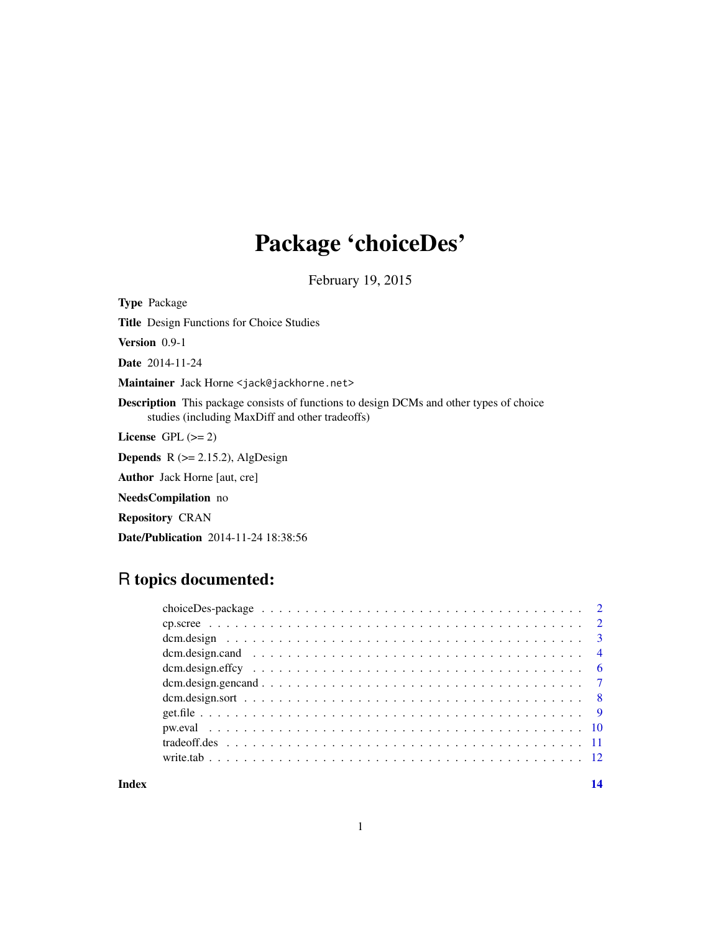## Package 'choiceDes'

February 19, 2015

Type Package

Title Design Functions for Choice Studies

Version 0.9-1

Date 2014-11-24

Maintainer Jack Horne <jack@jackhorne.net>

Description This package consists of functions to design DCMs and other types of choice studies (including MaxDiff and other tradeoffs)

License GPL  $(>= 2)$ 

**Depends** R  $(>= 2.15.2)$ , AlgDesign

Author Jack Horne [aut, cre]

NeedsCompilation no

Repository CRAN

Date/Publication 2014-11-24 18:38:56

### R topics documented:

**Index** 2008 **[14](#page-13-0)**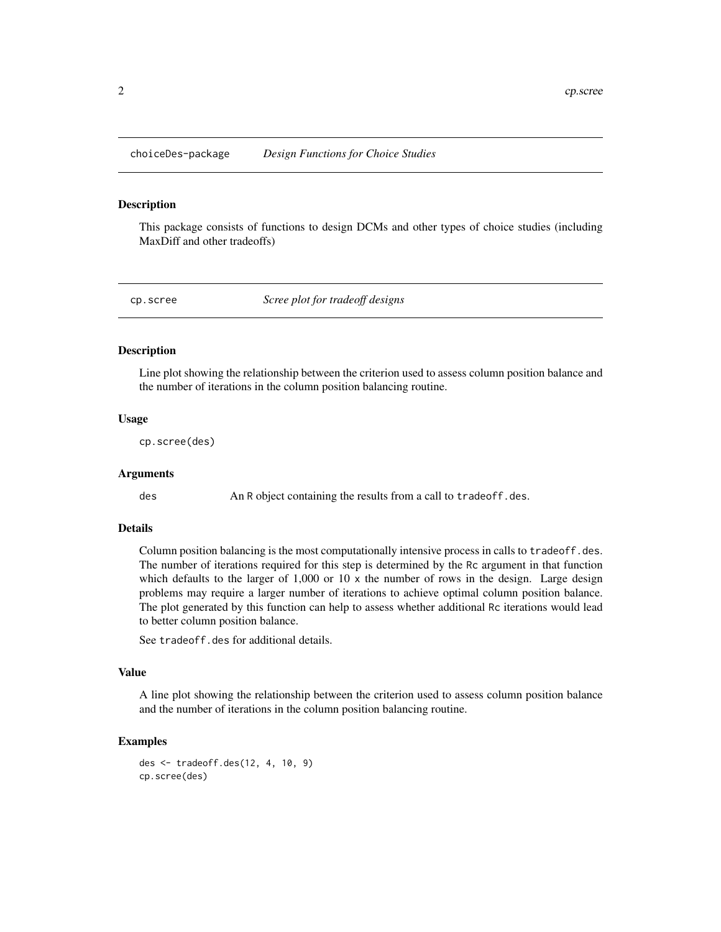<span id="page-1-0"></span>

This package consists of functions to design DCMs and other types of choice studies (including MaxDiff and other tradeoffs)

cp.scree *Scree plot for tradeoff designs*

#### Description

Line plot showing the relationship between the criterion used to assess column position balance and the number of iterations in the column position balancing routine.

#### Usage

cp.scree(des)

#### Arguments

des An R object containing the results from a call to tradeoff.des.

#### Details

Column position balancing is the most computationally intensive process in calls to tradeoff.des. The number of iterations required for this step is determined by the Rc argument in that function which defaults to the larger of  $1,000$  or  $10 \times$  the number of rows in the design. Large design problems may require a larger number of iterations to achieve optimal column position balance. The plot generated by this function can help to assess whether additional Rc iterations would lead to better column position balance.

See tradeoff.des for additional details.

#### Value

A line plot showing the relationship between the criterion used to assess column position balance and the number of iterations in the column position balancing routine.

```
des <- tradeoff.des(12, 4, 10, 9)
cp.scree(des)
```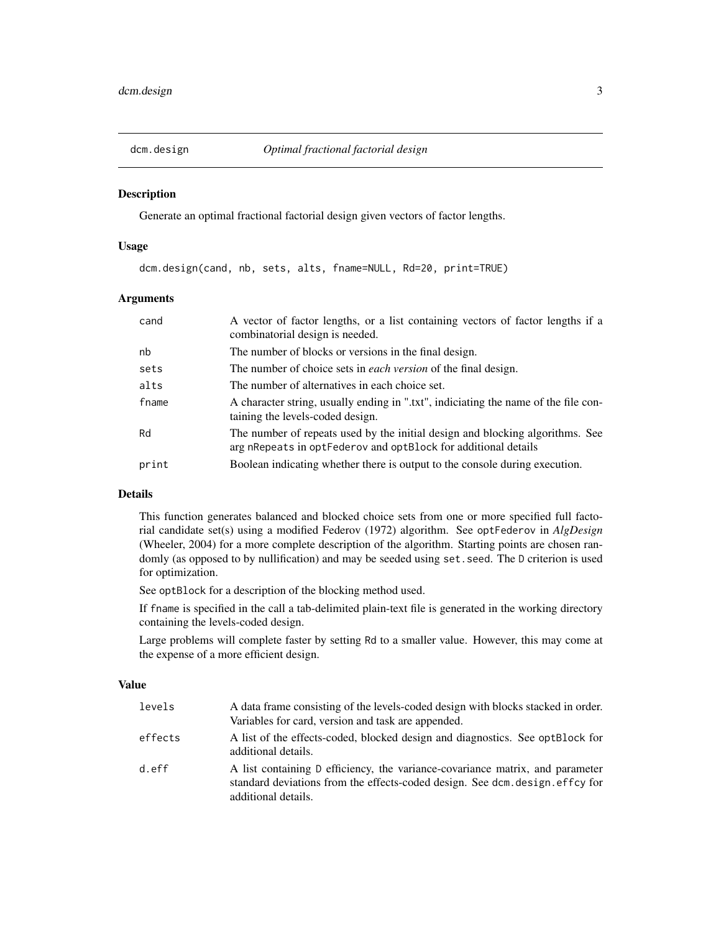<span id="page-2-0"></span>

Generate an optimal fractional factorial design given vectors of factor lengths.

#### Usage

dcm.design(cand, nb, sets, alts, fname=NULL, Rd=20, print=TRUE)

#### Arguments

| cand  | A vector of factor lengths, or a list containing vectors of factor lengths if a<br>combinatorial design is needed.                              |
|-------|-------------------------------------------------------------------------------------------------------------------------------------------------|
| nb    | The number of blocks or versions in the final design.                                                                                           |
| sets  | The number of choice sets in <i>each version</i> of the final design.                                                                           |
| alts  | The number of alternatives in each choice set.                                                                                                  |
| fname | A character string, usually ending in ".txt", indiciating the name of the file con-<br>taining the levels-coded design.                         |
| Rd    | The number of repeats used by the initial design and blocking algorithms. See<br>arg nRepeats in optFederov and optBlock for additional details |
| print | Boolean indicating whether there is output to the console during execution.                                                                     |

#### Details

This function generates balanced and blocked choice sets from one or more specified full factorial candidate set(s) using a modified Federov (1972) algorithm. See optFederov in *AlgDesign* (Wheeler, 2004) for a more complete description of the algorithm. Starting points are chosen randomly (as opposed to by nullification) and may be seeded using set.seed. The D criterion is used for optimization.

See optBlock for a description of the blocking method used.

If fname is specified in the call a tab-delimited plain-text file is generated in the working directory containing the levels-coded design.

Large problems will complete faster by setting Rd to a smaller value. However, this may come at the expense of a more efficient design.

#### Value

| levels  | A data frame consisting of the levels-coded design with blocks stacked in order.                                                                                                      |
|---------|---------------------------------------------------------------------------------------------------------------------------------------------------------------------------------------|
|         | Variables for card, version and task are appended.                                                                                                                                    |
| effects | A list of the effects-coded, blocked design and diagnostics. See optBlock for<br>additional details.                                                                                  |
| d.eff   | A list containing D efficiency, the variance-covariance matrix, and parameter<br>standard deviations from the effects-coded design. See dcm. design. effcy for<br>additional details. |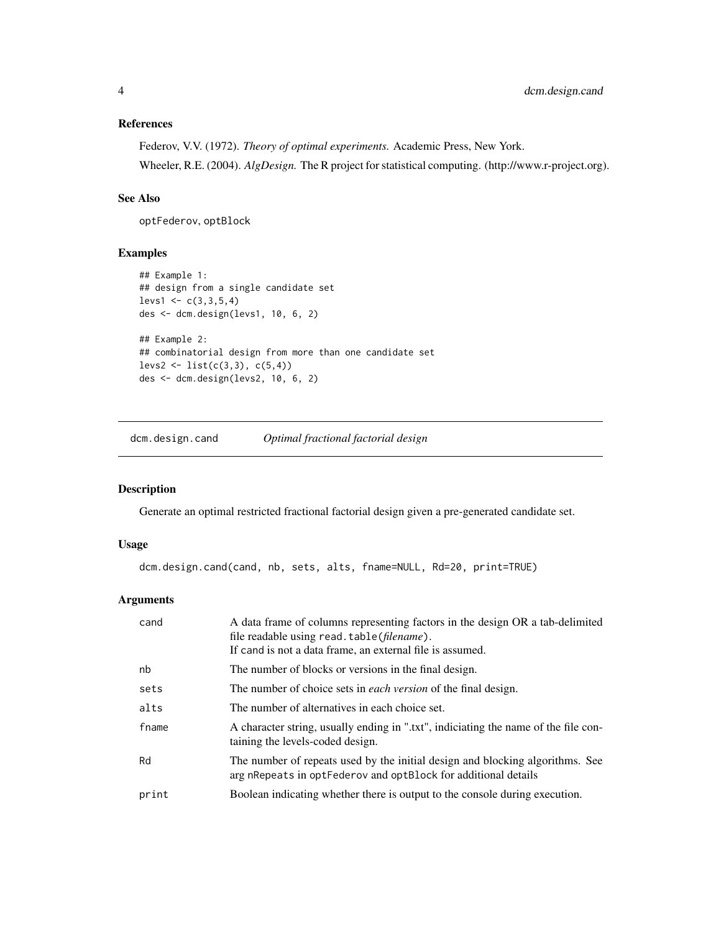#### <span id="page-3-0"></span>References

Federov, V.V. (1972). *Theory of optimal experiments.* Academic Press, New York. Wheeler, R.E. (2004). *AlgDesign.* The R project for statistical computing. (http://www.r-project.org).

#### See Also

optFederov, optBlock

#### Examples

```
## Example 1:
## design from a single candidate set
levs1 <- c(3,3,5,4)des <- dcm.design(levs1, 10, 6, 2)
## Example 2:
## combinatorial design from more than one candidate set
less2 \leftarrow list(c(3,3), c(5,4))des <- dcm.design(levs2, 10, 6, 2)
```
dcm.design.cand *Optimal fractional factorial design*

#### Description

Generate an optimal restricted fractional factorial design given a pre-generated candidate set.

#### Usage

dcm.design.cand(cand, nb, sets, alts, fname=NULL, Rd=20, print=TRUE)

#### Arguments

| cand  | A data frame of columns representing factors in the design OR a tab-delimited<br>file readable using read. table ( <i>filename</i> ).<br>If cand is not a data frame, an external file is assumed. |
|-------|----------------------------------------------------------------------------------------------------------------------------------------------------------------------------------------------------|
| nb    | The number of blocks or versions in the final design.                                                                                                                                              |
| sets  | The number of choice sets in <i>each version</i> of the final design.                                                                                                                              |
| alts  | The number of alternatives in each choice set.                                                                                                                                                     |
| fname | A character string, usually ending in ".txt", indiciating the name of the file con-<br>taining the levels-coded design.                                                                            |
| Rd    | The number of repeats used by the initial design and blocking algorithms. See<br>arg nRepeats in optFederov and optBlock for additional details                                                    |
| print | Boolean indicating whether there is output to the console during execution.                                                                                                                        |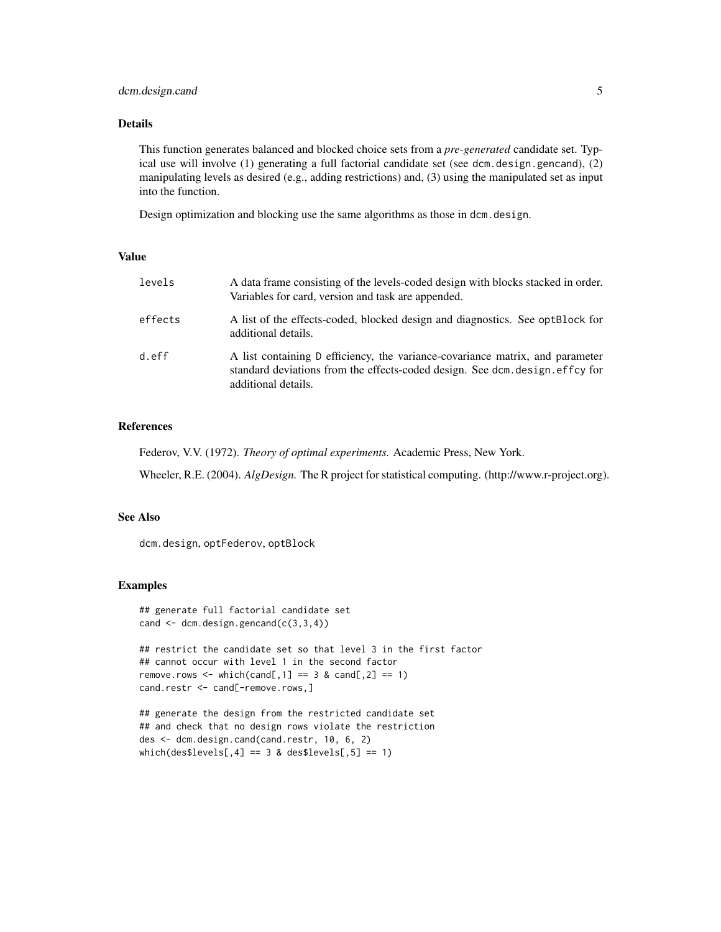#### dcm.design.cand 5

#### Details

This function generates balanced and blocked choice sets from a *pre-generated* candidate set. Typical use will involve  $(1)$  generating a full factorial candidate set (see dcm. design.gencand),  $(2)$ manipulating levels as desired (e.g., adding restrictions) and, (3) using the manipulated set as input into the function.

Design optimization and blocking use the same algorithms as those in dcm.design.

#### Value

| levels  | A data frame consisting of the levels-coded design with blocks stacked in order.<br>Variables for card, version and task are appended.                                                |
|---------|---------------------------------------------------------------------------------------------------------------------------------------------------------------------------------------|
| effects | A list of the effects-coded, blocked design and diagnostics. See optBlock for<br>additional details.                                                                                  |
| d.eff   | A list containing D efficiency, the variance-covariance matrix, and parameter<br>standard deviations from the effects-coded design. See dcm. design. effcy for<br>additional details. |

#### References

Federov, V.V. (1972). *Theory of optimal experiments.* Academic Press, New York.

Wheeler, R.E. (2004). *AlgDesign.* The R project for statistical computing. (http://www.r-project.org).

#### See Also

dcm.design, optFederov, optBlock

```
## generate full factorial candidate set
cand \leq dcm.design.gencand(c(3,3,4))
```

```
## restrict the candidate set so that level 3 in the first factor
## cannot occur with level 1 in the second factor
remove.rows \leq which(cand[,1] == 3 & cand[,2] == 1)
cand.restr <- cand[-remove.rows,]
```

```
## generate the design from the restricted candidate set
## and check that no design rows violate the restriction
des <- dcm.design.cand(cand.restr, 10, 6, 2)
which(des$levels[,4] == 3 & des$levels[,5] == 1)
```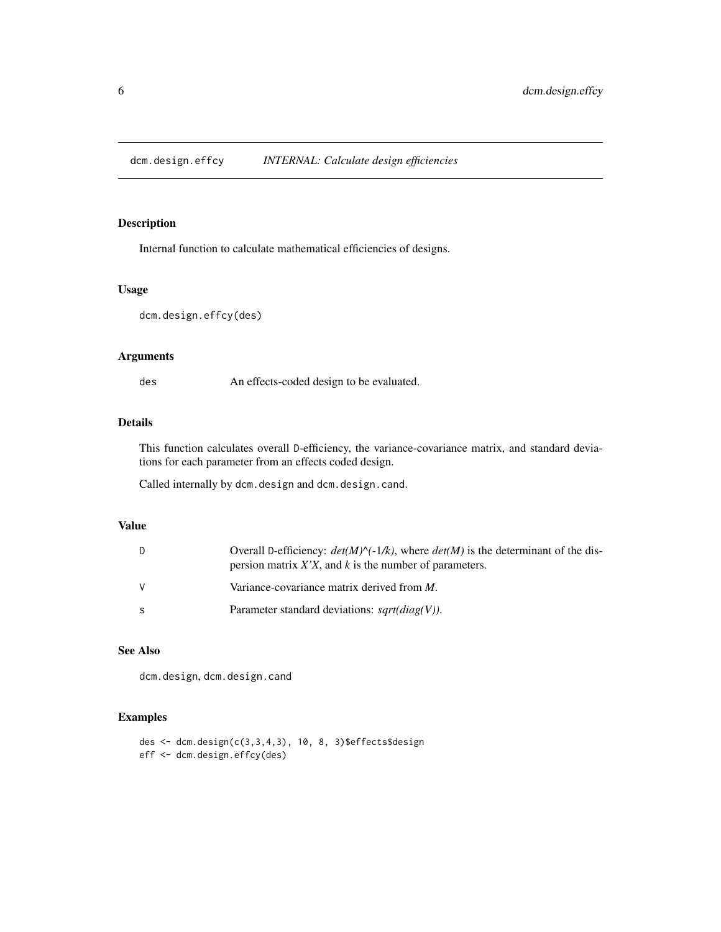<span id="page-5-0"></span>dcm.design.effcy *INTERNAL: Calculate design efficiencies*

#### Description

Internal function to calculate mathematical efficiencies of designs.

#### Usage

dcm.design.effcy(des)

#### Arguments

des An effects-coded design to be evaluated.

#### Details

This function calculates overall D-efficiency, the variance-covariance matrix, and standard deviations for each parameter from an effects coded design.

Called internally by dcm.design and dcm.design.cand.

#### Value

| D. | Overall D-efficiency: $det(M)^{N}(-1/k)$ , where $det(M)$ is the determinant of the dis-<br>persion matrix $X'X$ , and k is the number of parameters. |
|----|-------------------------------------------------------------------------------------------------------------------------------------------------------|
| V  | Variance-covariance matrix derived from $M$ .                                                                                                         |
| -S | Parameter standard deviations: $sqrt(diag(V))$ .                                                                                                      |

#### See Also

dcm.design, dcm.design.cand

```
des <- dcm.design(c(3,3,4,3), 10, 8, 3)$effects$design
eff <- dcm.design.effcy(des)
```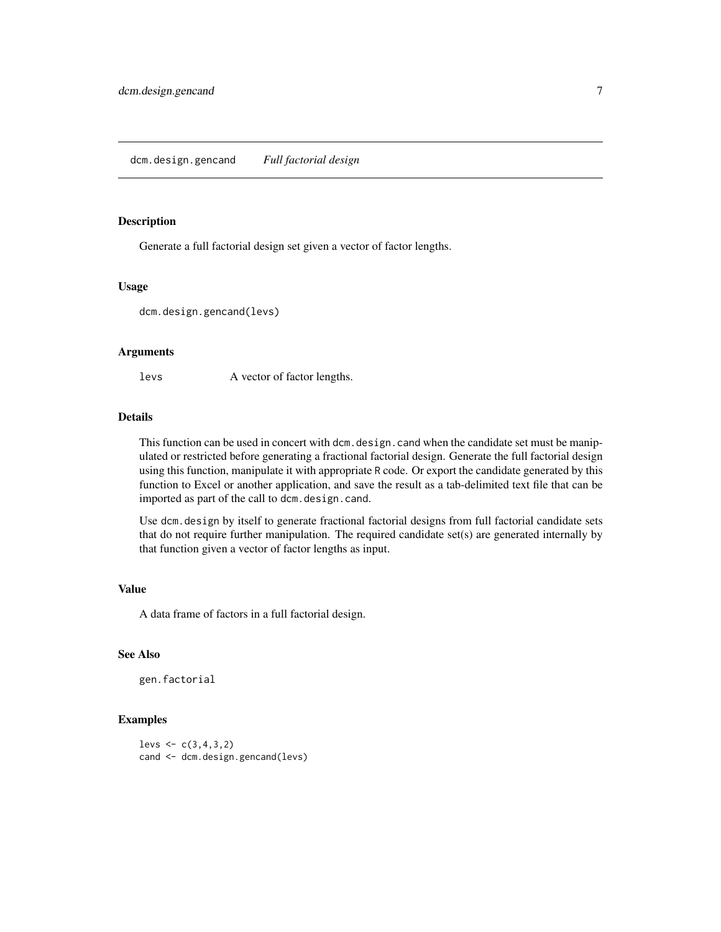#### <span id="page-6-0"></span>dcm.design.gencand *Full factorial design*

#### Description

Generate a full factorial design set given a vector of factor lengths.

#### Usage

dcm.design.gencand(levs)

#### Arguments

levs A vector of factor lengths.

#### Details

This function can be used in concert with dcm. design. cand when the candidate set must be manipulated or restricted before generating a fractional factorial design. Generate the full factorial design using this function, manipulate it with appropriate R code. Or export the candidate generated by this function to Excel or another application, and save the result as a tab-delimited text file that can be imported as part of the call to dcm.design.cand.

Use dcm.design by itself to generate fractional factorial designs from full factorial candidate sets that do not require further manipulation. The required candidate set(s) are generated internally by that function given a vector of factor lengths as input.

#### Value

A data frame of factors in a full factorial design.

#### See Also

```
gen.factorial
```

```
levs \leftarrow c(3, 4, 3, 2)cand <- dcm.design.gencand(levs)
```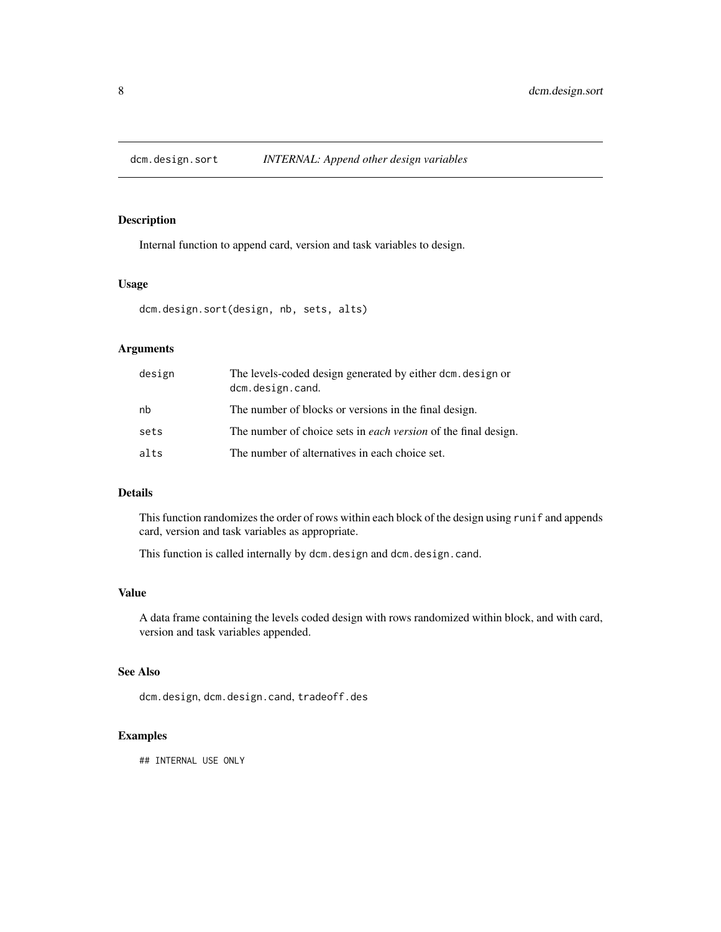<span id="page-7-0"></span>

Internal function to append card, version and task variables to design.

#### Usage

dcm.design.sort(design, nb, sets, alts)

#### Arguments

| design | The levels-coded design generated by either dcm. design or<br>dcm.design.cand. |
|--------|--------------------------------------------------------------------------------|
| nb     | The number of blocks or versions in the final design.                          |
| sets   | The number of choice sets in <i>each version</i> of the final design.          |
| alts   | The number of alternatives in each choice set.                                 |

#### Details

This function randomizes the order of rows within each block of the design using runif and appends card, version and task variables as appropriate.

This function is called internally by dcm.design and dcm.design.cand.

#### Value

A data frame containing the levels coded design with rows randomized within block, and with card, version and task variables appended.

#### See Also

dcm.design, dcm.design.cand, tradeoff.des

#### Examples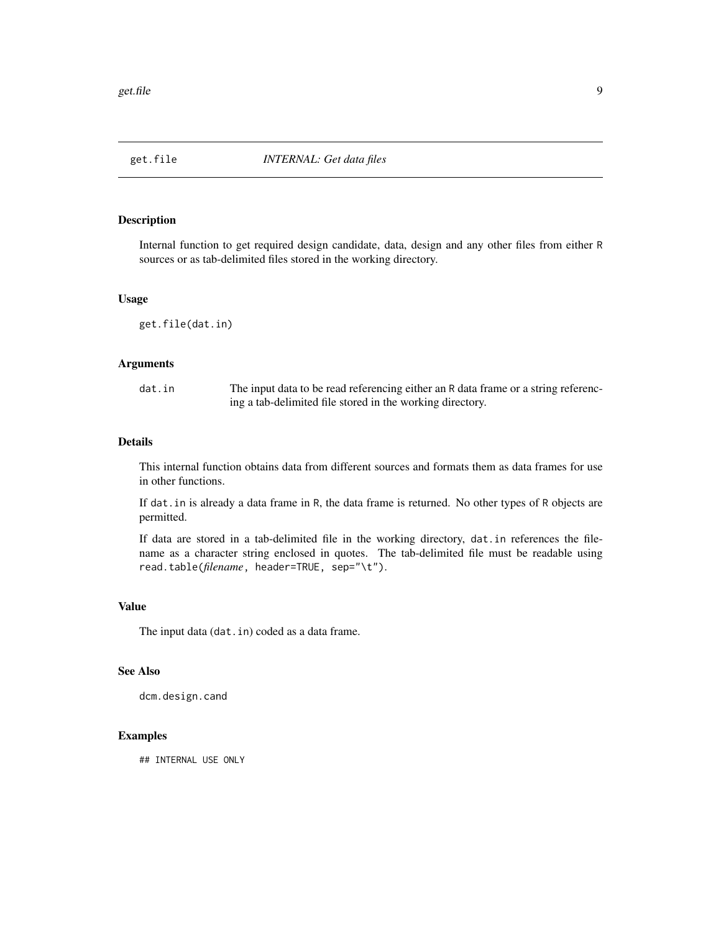<span id="page-8-0"></span>

Internal function to get required design candidate, data, design and any other files from either R sources or as tab-delimited files stored in the working directory.

#### Usage

get.file(dat.in)

#### Arguments

| dat.in | The input data to be read referencing either an R data frame or a string referenc- |
|--------|------------------------------------------------------------------------------------|
|        | ing a tab-delimited file stored in the working directory.                          |

#### Details

This internal function obtains data from different sources and formats them as data frames for use in other functions.

If dat.in is already a data frame in R, the data frame is returned. No other types of R objects are permitted.

If data are stored in a tab-delimited file in the working directory, dat.in references the filename as a character string enclosed in quotes. The tab-delimited file must be readable using read.table(*filename*, header=TRUE, sep="\t").

#### Value

The input data (dat.in) coded as a data frame.

#### See Also

dcm.design.cand

#### Examples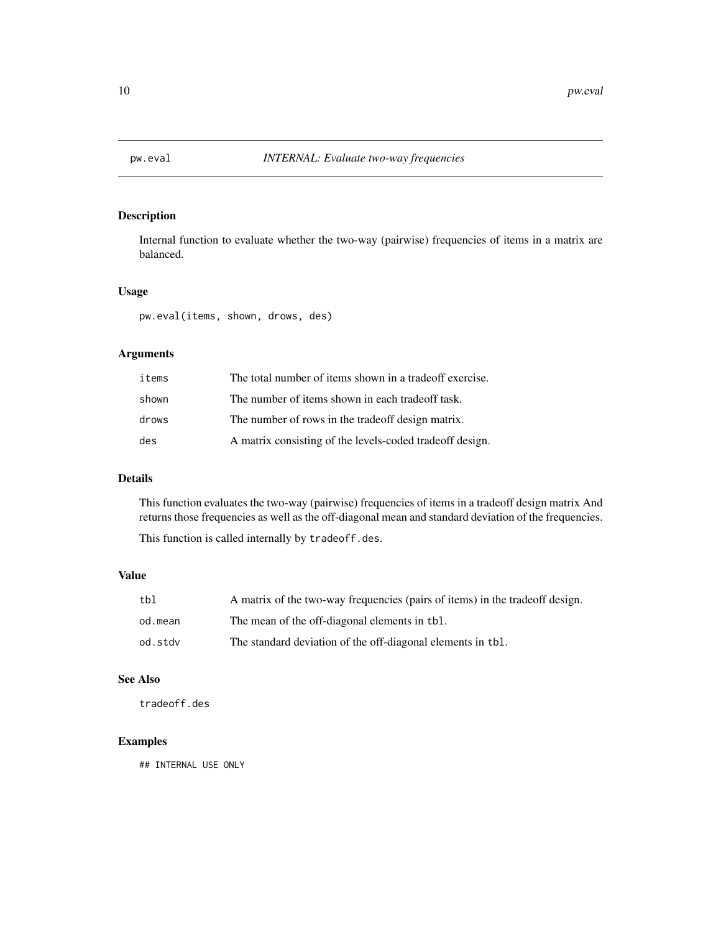<span id="page-9-0"></span>

Internal function to evaluate whether the two-way (pairwise) frequencies of items in a matrix are balanced.

#### Usage

pw.eval(items, shown, drows, des)

#### Arguments

| items | The total number of items shown in a tradeoff exercise.  |
|-------|----------------------------------------------------------|
| shown | The number of items shown in each tradeoff task.         |
| drows | The number of rows in the tradeoff design matrix.        |
| des   | A matrix consisting of the levels-coded tradeoff design. |

#### Details

This function evaluates the two-way (pairwise) frequencies of items in a tradeoff design matrix And returns those frequencies as well as the off-diagonal mean and standard deviation of the frequencies.

This function is called internally by tradeoff.des.

#### Value

| tbl     | A matrix of the two-way frequencies (pairs of items) in the tradeoff design. |
|---------|------------------------------------------------------------------------------|
| od.mean | The mean of the off-diagonal elements in tbl.                                |
| od.stdv | The standard deviation of the off-diagonal elements in tb1.                  |

#### See Also

tradeoff.des

#### Examples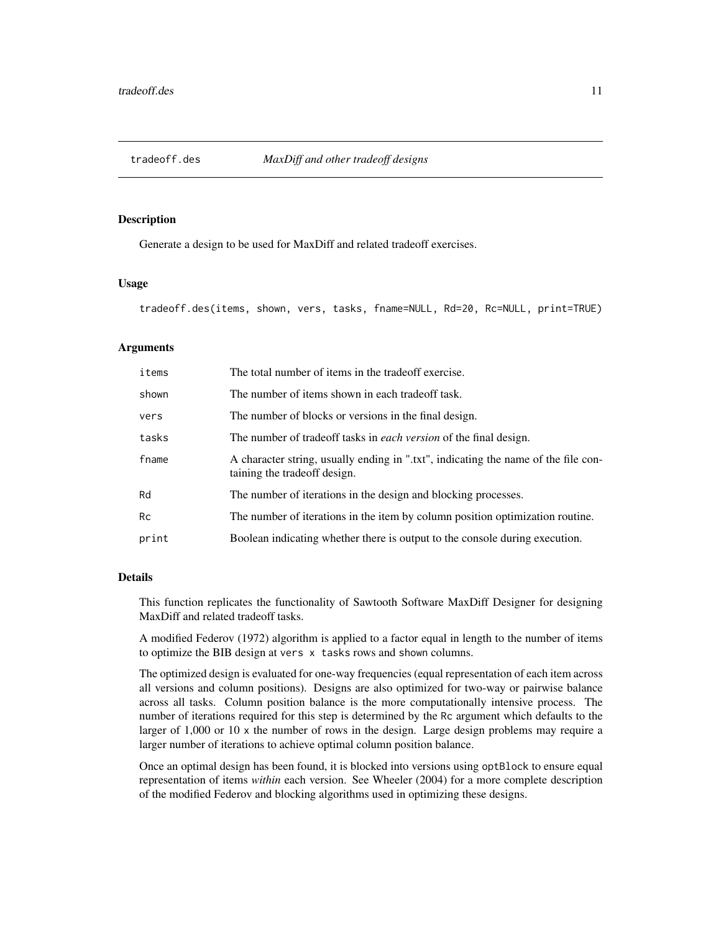<span id="page-10-0"></span>

Generate a design to be used for MaxDiff and related tradeoff exercises.

#### Usage

tradeoff.des(items, shown, vers, tasks, fname=NULL, Rd=20, Rc=NULL, print=TRUE)

#### **Arguments**

| items     | The total number of items in the tradeoff exercise.                                                                |
|-----------|--------------------------------------------------------------------------------------------------------------------|
| shown     | The number of items shown in each tradeoff task.                                                                   |
| vers      | The number of blocks or versions in the final design.                                                              |
| tasks     | The number of tradeoff tasks in <i>each version</i> of the final design.                                           |
| fname     | A character string, usually ending in ".txt", indicating the name of the file con-<br>taining the tradeoff design. |
| Rd        | The number of iterations in the design and blocking processes.                                                     |
| <b>Rc</b> | The number of iterations in the item by column position optimization routine.                                      |
| print     | Boolean indicating whether there is output to the console during execution.                                        |

#### Details

This function replicates the functionality of Sawtooth Software MaxDiff Designer for designing MaxDiff and related tradeoff tasks.

A modified Federov (1972) algorithm is applied to a factor equal in length to the number of items to optimize the BIB design at vers x tasks rows and shown columns.

The optimized design is evaluated for one-way frequencies (equal representation of each item across all versions and column positions). Designs are also optimized for two-way or pairwise balance across all tasks. Column position balance is the more computationally intensive process. The number of iterations required for this step is determined by the Rc argument which defaults to the larger of  $1,000$  or  $10 \times$  the number of rows in the design. Large design problems may require a larger number of iterations to achieve optimal column position balance.

Once an optimal design has been found, it is blocked into versions using optBlock to ensure equal representation of items *within* each version. See Wheeler (2004) for a more complete description of the modified Federov and blocking algorithms used in optimizing these designs.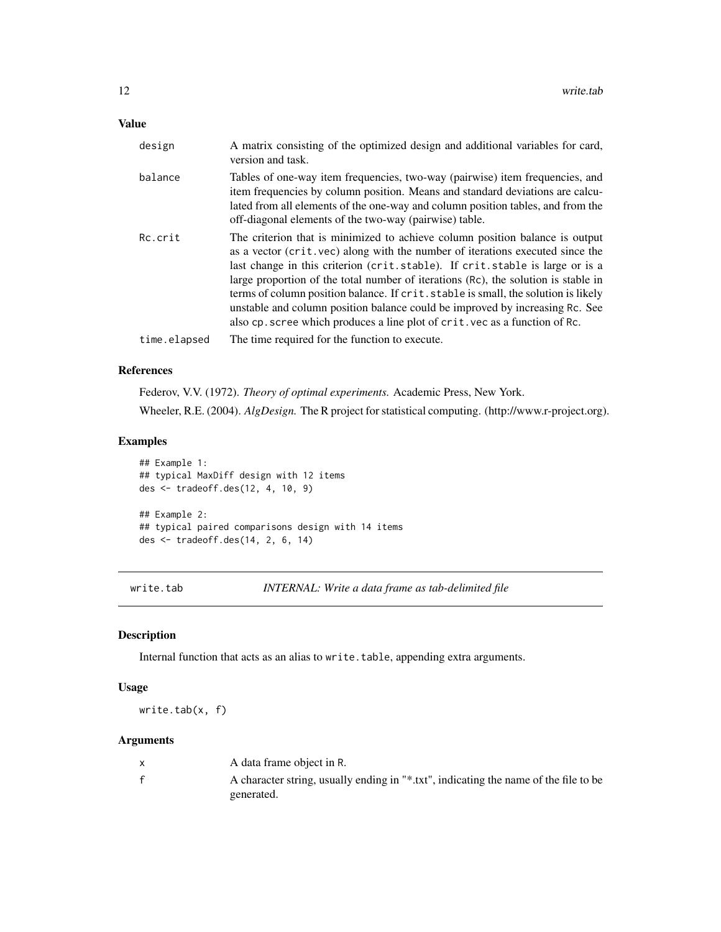#### <span id="page-11-0"></span>Value

| design       | A matrix consisting of the optimized design and additional variables for card,<br>version and task.                                                                                                                                                                                                                                                                                                                                                                                                                                                                                      |
|--------------|------------------------------------------------------------------------------------------------------------------------------------------------------------------------------------------------------------------------------------------------------------------------------------------------------------------------------------------------------------------------------------------------------------------------------------------------------------------------------------------------------------------------------------------------------------------------------------------|
| balance      | Tables of one-way item frequencies, two-way (pairwise) item frequencies, and<br>item frequencies by column position. Means and standard deviations are calcu-<br>lated from all elements of the one-way and column position tables, and from the<br>off-diagonal elements of the two-way (pairwise) table.                                                                                                                                                                                                                                                                               |
| Rc.crit      | The criterion that is minimized to achieve column position balance is output<br>as a vector (crit.vec) along with the number of iterations executed since the<br>last change in this criterion (crit.stable). If crit.stable is large or is a<br>large proportion of the total number of iterations (Rc), the solution is stable in<br>terms of column position balance. If crit, stable is small, the solution is likely<br>unstable and column position balance could be improved by increasing Rc. See<br>also cp. scree which produces a line plot of crit. vec as a function of Rc. |
| time.elapsed | The time required for the function to execute.                                                                                                                                                                                                                                                                                                                                                                                                                                                                                                                                           |

#### References

Federov, V.V. (1972). *Theory of optimal experiments.* Academic Press, New York. Wheeler, R.E. (2004). *AlgDesign.* The R project for statistical computing. (http://www.r-project.org).

#### Examples

## Example 1: ## typical MaxDiff design with 12 items des <- tradeoff.des(12, 4, 10, 9) ## Example 2: ## typical paired comparisons design with 14 items des <- tradeoff.des(14, 2, 6, 14)

write.tab *INTERNAL: Write a data frame as tab-delimited file*

#### Description

Internal function that acts as an alias to write.table, appending extra arguments.

#### Usage

write.tab(x, f)

#### Arguments

|  | A data frame object in R.                                                            |
|--|--------------------------------------------------------------------------------------|
|  | A character string, usually ending in "*,txt", indicating the name of the file to be |
|  | generated.                                                                           |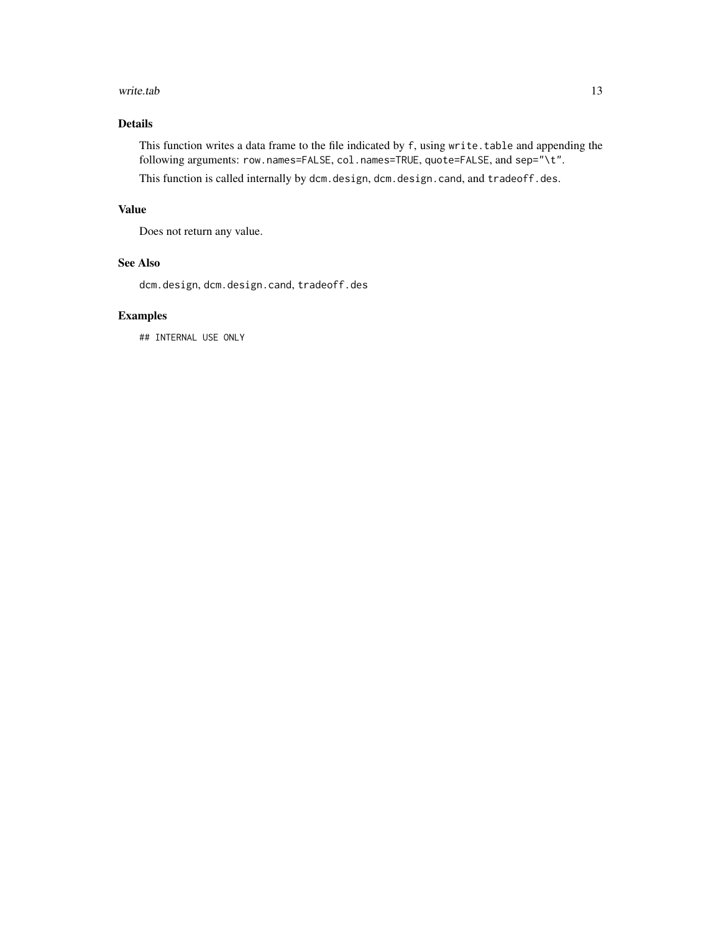#### write.tab 13

#### Details

This function writes a data frame to the file indicated by f, using write.table and appending the following arguments: row.names=FALSE, col.names=TRUE, quote=FALSE, and sep="\t".

This function is called internally by dcm.design, dcm.design.cand, and tradeoff.des.

#### Value

Does not return any value.

#### See Also

dcm.design, dcm.design.cand, tradeoff.des

#### Examples